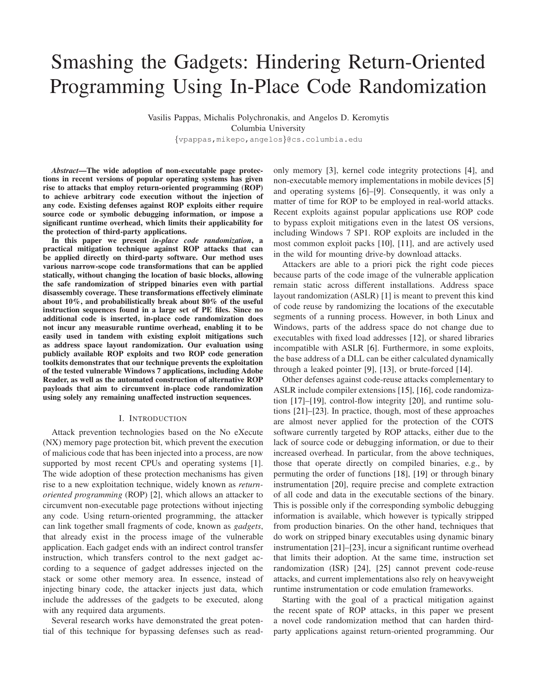# Smashing the Gadgets: Hindering Return-Oriented Programming Using In-Place Code Randomization

Vasilis Pappas, Michalis Polychronakis, and Angelos D. Keromytis Columbia University {vpappas,mikepo,angelos}@cs.columbia.edu

*Abstract***—The wide adoption of non-executable page protections in recent versions of popular operating systems has given rise to attacks that employ return-oriented programming (ROP) to achieve arbitrary code execution without the injection of any code. Existing defenses against ROP exploits either require source code or symbolic debugging information, or impose a significant runtime overhead, which limits their applicability for the protection of third-party applications.**

**In this paper we present** *in-place code randomization***, a practical mitigation technique against ROP attacks that can be applied directly on third-party software. Our method uses various narrow-scope code transformations that can be applied statically, without changing the location of basic blocks, allowing the safe randomization of stripped binaries even with partial disassembly coverage. These transformations effectively eliminate about 10%, and probabilistically break about 80% of the useful instruction sequences found in a large set of PE files. Since no additional code is inserted, in-place code randomization does not incur any measurable runtime overhead, enabling it to be easily used in tandem with existing exploit mitigations such as address space layout randomization. Our evaluation using publicly available ROP exploits and two ROP code generation toolkits demonstrates that our technique prevents the exploitation of the tested vulnerable Windows 7 applications, including Adobe Reader, as well as the automated construction of alternative ROP payloads that aim to circumvent in-place code randomization using solely any remaining unaffected instruction sequences.**

## I. INTRODUCTION

Attack prevention technologies based on the No eXecute (NX) memory page protection bit, which prevent the execution of malicious code that has been injected into a process, are now supported by most recent CPUs and operating systems [\[1\]](#page-12-0). The wide adoption of these protection mechanisms has given rise to a new exploitation technique, widely known as *returnoriented programming* (ROP) [\[2\]](#page-12-1), which allows an attacker to circumvent non-executable page protections without injecting any code. Using return-oriented programming, the attacker can link together small fragments of code, known as *gadgets*, that already exist in the process image of the vulnerable application. Each gadget ends with an indirect control transfer instruction, which transfers control to the next gadget according to a sequence of gadget addresses injected on the stack or some other memory area. In essence, instead of injecting binary code, the attacker injects just data, which include the addresses of the gadgets to be executed, along with any required data arguments.

Several research works have demonstrated the great potential of this technique for bypassing defenses such as readonly memory [\[3\]](#page-12-2), kernel code integrity protections [\[4\]](#page-12-3), and non-executable memory implementations in mobile devices [\[5\]](#page-12-4) and operating systems [\[6\]](#page-12-5)–[\[9\]](#page-12-6). Consequently, it was only a matter of time for ROP to be employed in real-world attacks. Recent exploits against popular applications use ROP code to bypass exploit mitigations even in the latest OS versions, including Windows 7 SP1. ROP exploits are included in the most common exploit packs [\[10\]](#page-12-7), [\[11\]](#page-12-8), and are actively used in the wild for mounting drive-by download attacks.

Attackers are able to a priori pick the right code pieces because parts of the code image of the vulnerable application remain static across different installations. Address space layout randomization (ASLR) [\[1\]](#page-12-0) is meant to prevent this kind of code reuse by randomizing the locations of the executable segments of a running process. However, in both Linux and Windows, parts of the address space do not change due to executables with fixed load addresses [\[12\]](#page-12-9), or shared libraries incompatible with ASLR [\[6\]](#page-12-5). Furthermore, in some exploits, the base address of a DLL can be either calculated dynamically through a leaked pointer [\[9\]](#page-12-6), [\[13\]](#page-12-10), or brute-forced [\[14\]](#page-13-0).

Other defenses against code-reuse attacks complementary to ASLR include compiler extensions [\[15\]](#page-13-1), [\[16\]](#page-13-2), code randomization [\[17\]](#page-13-3)–[\[19\]](#page-13-4), control-flow integrity [\[20\]](#page-13-5), and runtime solutions [\[21\]](#page-13-6)–[\[23\]](#page-13-7). In practice, though, most of these approaches are almost never applied for the protection of the COTS software currently targeted by ROP attacks, either due to the lack of source code or debugging information, or due to their increased overhead. In particular, from the above techniques, those that operate directly on compiled binaries, e.g., by permuting the order of functions [\[18\]](#page-13-8), [\[19\]](#page-13-4) or through binary instrumentation [\[20\]](#page-13-5), require precise and complete extraction of all code and data in the executable sections of the binary. This is possible only if the corresponding symbolic debugging information is available, which however is typically stripped from production binaries. On the other hand, techniques that do work on stripped binary executables using dynamic binary instrumentation [\[21\]](#page-13-6)–[\[23\]](#page-13-7), incur a significant runtime overhead that limits their adoption. At the same time, instruction set randomization (ISR) [\[24\]](#page-13-9), [\[25\]](#page-13-10) cannot prevent code-reuse attacks, and current implementations also rely on heavyweight runtime instrumentation or code emulation frameworks.

Starting with the goal of a practical mitigation against the recent spate of ROP attacks, in this paper we present a novel code randomization method that can harden thirdparty applications against return-oriented programming. Our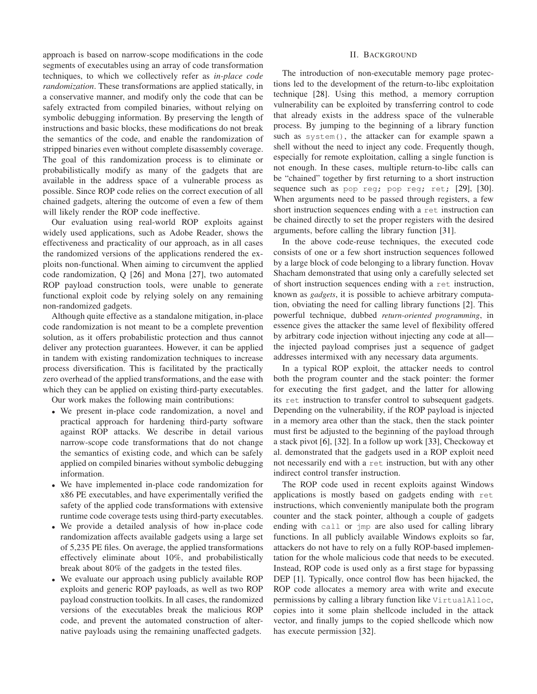approach is based on narrow-scope modifications in the code segments of executables using an array of code transformation techniques, to which we collectively refer as *in-place code randomization*. These transformations are applied statically, in a conservative manner, and modify only the code that can be safely extracted from compiled binaries, without relying on symbolic debugging information. By preserving the length of instructions and basic blocks, these modifications do not break the semantics of the code, and enable the randomization of stripped binaries even without complete disassembly coverage. The goal of this randomization process is to eliminate or probabilistically modify as many of the gadgets that are available in the address space of a vulnerable process as possible. Since ROP code relies on the correct execution of all chained gadgets, altering the outcome of even a few of them will likely render the ROP code ineffective.

Our evaluation using real-world ROP exploits against widely used applications, such as Adobe Reader, shows the effectiveness and practicality of our approach, as in all cases the randomized versions of the applications rendered the exploits non-functional. When aiming to circumvent the applied code randomization, Q [\[26\]](#page-13-11) and Mona [\[27\]](#page-13-12), two automated ROP payload construction tools, were unable to generate functional exploit code by relying solely on any remaining non-randomized gadgets.

Although quite effective as a standalone mitigation, in-place code randomization is not meant to be a complete prevention solution, as it offers probabilistic protection and thus cannot deliver any protection guarantees. However, it can be applied in tandem with existing randomization techniques to increase process diversification. This is facilitated by the practically zero overhead of the applied transformations, and the ease with which they can be applied on existing third-party executables.

Our work makes the following main contributions:

- We present in-place code randomization, a novel and practical approach for hardening third-party software against ROP attacks. We describe in detail various narrow-scope code transformations that do not change the semantics of existing code, and which can be safely applied on compiled binaries without symbolic debugging information.
- We have implemented in-place code randomization for x86 PE executables, and have experimentally verified the safety of the applied code transformations with extensive runtime code coverage tests using third-party executables.
- We provide a detailed analysis of how in-place code randomization affects available gadgets using a large set of 5,235 PE files. On average, the applied transformations effectively eliminate about 10%, and probabilistically break about 80% of the gadgets in the tested files.
- We evaluate our approach using publicly available ROP exploits and generic ROP payloads, as well as two ROP payload construction toolkits. In all cases, the randomized versions of the executables break the malicious ROP code, and prevent the automated construction of alternative payloads using the remaining unaffected gadgets.

#### II. BACKGROUND

<span id="page-1-0"></span>The introduction of non-executable memory page protections led to the development of the return-to-libc exploitation technique [\[28\]](#page-13-13). Using this method, a memory corruption vulnerability can be exploited by transferring control to code that already exists in the address space of the vulnerable process. By jumping to the beginning of a library function such as system(), the attacker can for example spawn a shell without the need to inject any code. Frequently though, especially for remote exploitation, calling a single function is not enough. In these cases, multiple return-to-libc calls can be "chained" together by first returning to a short instruction sequence such as pop reg; pop reg; ret; [\[29\]](#page-13-14), [\[30\]](#page-13-15). When arguments need to be passed through registers, a few short instruction sequences ending with a ret instruction can be chained directly to set the proper registers with the desired arguments, before calling the library function [\[31\]](#page-13-16).

In the above code-reuse techniques, the executed code consists of one or a few short instruction sequences followed by a large block of code belonging to a library function. Hovav Shacham demonstrated that using only a carefully selected set of short instruction sequences ending with a ret instruction, known as *gadgets*, it is possible to achieve arbitrary computation, obviating the need for calling library functions [\[2\]](#page-12-1). This powerful technique, dubbed *return-oriented programming*, in essence gives the attacker the same level of flexibility offered by arbitrary code injection without injecting any code at all the injected payload comprises just a sequence of gadget addresses intermixed with any necessary data arguments.

In a typical ROP exploit, the attacker needs to control both the program counter and the stack pointer: the former for executing the first gadget, and the latter for allowing its ret instruction to transfer control to subsequent gadgets. Depending on the vulnerability, if the ROP payload is injected in a memory area other than the stack, then the stack pointer must first be adjusted to the beginning of the payload through a stack pivot [\[6\]](#page-12-5), [\[32\]](#page-13-17). In a follow up work [\[33\]](#page-13-18), Checkoway et al. demonstrated that the gadgets used in a ROP exploit need not necessarily end with a ret instruction, but with any other indirect control transfer instruction.

The ROP code used in recent exploits against Windows applications is mostly based on gadgets ending with ret instructions, which conveniently manipulate both the program counter and the stack pointer, although a couple of gadgets ending with call or jmp are also used for calling library functions. In all publicly available Windows exploits so far, attackers do not have to rely on a fully ROP-based implementation for the whole malicious code that needs to be executed. Instead, ROP code is used only as a first stage for bypassing DEP [\[1\]](#page-12-0). Typically, once control flow has been hijacked, the ROP code allocates a memory area with write and execute permissions by calling a library function like VirtualAlloc, copies into it some plain shellcode included in the attack vector, and finally jumps to the copied shellcode which now has execute permission [\[32\]](#page-13-17).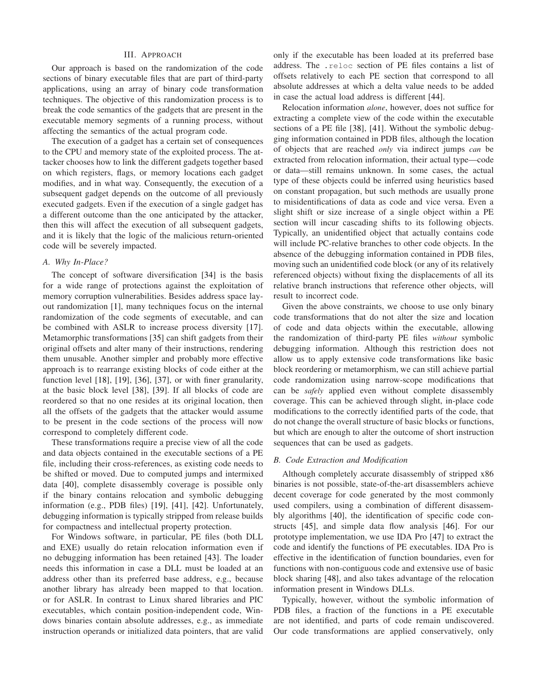## III. APPROACH

Our approach is based on the randomization of the code sections of binary executable files that are part of third-party applications, using an array of binary code transformation techniques. The objective of this randomization process is to break the code semantics of the gadgets that are present in the executable memory segments of a running process, without affecting the semantics of the actual program code.

The execution of a gadget has a certain set of consequences to the CPU and memory state of the exploited process. The attacker chooses how to link the different gadgets together based on which registers, flags, or memory locations each gadget modifies, and in what way. Consequently, the execution of a subsequent gadget depends on the outcome of all previously executed gadgets. Even if the execution of a single gadget has a different outcome than the one anticipated by the attacker, then this will affect the execution of all subsequent gadgets, and it is likely that the logic of the malicious return-oriented code will be severely impacted.

# *A. Why In-Place?*

The concept of software diversification [\[34\]](#page-13-19) is the basis for a wide range of protections against the exploitation of memory corruption vulnerabilities. Besides address space layout randomization [\[1\]](#page-12-0), many techniques focus on the internal randomization of the code segments of executable, and can be combined with ASLR to increase process diversity [\[17\]](#page-13-3). Metamorphic transformations [\[35\]](#page-13-20) can shift gadgets from their original offsets and alter many of their instructions, rendering them unusable. Another simpler and probably more effective approach is to rearrange existing blocks of code either at the function level [\[18\]](#page-13-8), [\[19\]](#page-13-4), [\[36\]](#page-13-21), [\[37\]](#page-13-22), or with finer granularity, at the basic block level [\[38\]](#page-13-23), [\[39\]](#page-13-24). If all blocks of code are reordered so that no one resides at its original location, then all the offsets of the gadgets that the attacker would assume to be present in the code sections of the process will now correspond to completely different code.

These transformations require a precise view of all the code and data objects contained in the executable sections of a PE file, including their cross-references, as existing code needs to be shifted or moved. Due to computed jumps and intermixed data [\[40\]](#page-13-25), complete disassembly coverage is possible only if the binary contains relocation and symbolic debugging information (e.g., PDB files) [\[19\]](#page-13-4), [\[41\]](#page-13-26), [\[42\]](#page-13-27). Unfortunately, debugging information is typically stripped from release builds for compactness and intellectual property protection.

For Windows software, in particular, PE files (both DLL and EXE) usually do retain relocation information even if no debugging information has been retained [\[43\]](#page-13-28). The loader needs this information in case a DLL must be loaded at an address other than its preferred base address, e.g., because another library has already been mapped to that location. or for ASLR. In contrast to Linux shared libraries and PIC executables, which contain position-independent code, Windows binaries contain absolute addresses, e.g., as immediate instruction operands or initialized data pointers, that are valid only if the executable has been loaded at its preferred base address. The .reloc section of PE files contains a list of offsets relatively to each PE section that correspond to all absolute addresses at which a delta value needs to be added in case the actual load address is different [\[44\]](#page-13-29).

Relocation information *alone*, however, does not suffice for extracting a complete view of the code within the executable sections of a PE file [\[38\]](#page-13-23), [\[41\]](#page-13-26). Without the symbolic debugging information contained in PDB files, although the location of objects that are reached *only* via indirect jumps *can* be extracted from relocation information, their actual type—code or data—still remains unknown. In some cases, the actual type of these objects could be inferred using heuristics based on constant propagation, but such methods are usually prone to misidentifications of data as code and vice versa. Even a slight shift or size increase of a single object within a PE section will incur cascading shifts to its following objects. Typically, an unidentified object that actually contains code will include PC-relative branches to other code objects. In the absence of the debugging information contained in PDB files, moving such an unidentified code block (or any of its relatively referenced objects) without fixing the displacements of all its relative branch instructions that reference other objects, will result to incorrect code.

Given the above constraints, we choose to use only binary code transformations that do not alter the size and location of code and data objects within the executable, allowing the randomization of third-party PE files *without* symbolic debugging information. Although this restriction does not allow us to apply extensive code transformations like basic block reordering or metamorphism, we can still achieve partial code randomization using narrow-scope modifications that can be *safely* applied even without complete disassembly coverage. This can be achieved through slight, in-place code modifications to the correctly identified parts of the code, that do not change the overall structure of basic blocks or functions, but which are enough to alter the outcome of short instruction sequences that can be used as gadgets.

## *B. Code Extraction and Modification*

Although completely accurate disassembly of stripped x86 binaries is not possible, state-of-the-art disassemblers achieve decent coverage for code generated by the most commonly used compilers, using a combination of different disassembly algorithms [\[40\]](#page-13-25), the identification of specific code constructs [\[45\]](#page-13-30), and simple data flow analysis [\[46\]](#page-13-31). For our prototype implementation, we use IDA Pro [\[47\]](#page-13-32) to extract the code and identify the functions of PE executables. IDA Pro is effective in the identification of function boundaries, even for functions with non-contiguous code and extensive use of basic block sharing [\[48\]](#page-13-33), and also takes advantage of the relocation information present in Windows DLLs.

Typically, however, without the symbolic information of PDB files, a fraction of the functions in a PE executable are not identified, and parts of code remain undiscovered. Our code transformations are applied conservatively, only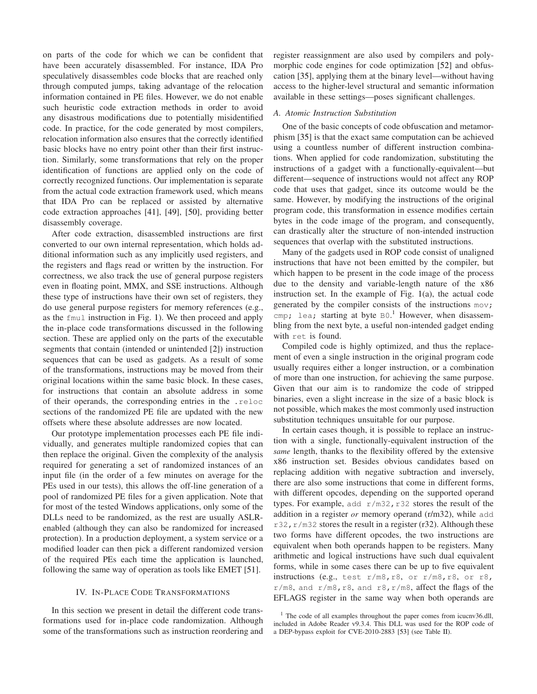on parts of the code for which we can be confident that have been accurately disassembled. For instance, IDA Pro speculatively disassembles code blocks that are reached only through computed jumps, taking advantage of the relocation information contained in PE files. However, we do not enable such heuristic code extraction methods in order to avoid any disastrous modifications due to potentially misidentified code. In practice, for the code generated by most compilers, relocation information also ensures that the correctly identified basic blocks have no entry point other than their first instruction. Similarly, some transformations that rely on the proper identification of functions are applied only on the code of correctly recognized functions. Our implementation is separate from the actual code extraction framework used, which means that IDA Pro can be replaced or assisted by alternative code extraction approaches [\[41\]](#page-13-26), [\[49\]](#page-13-34), [\[50\]](#page-13-35), providing better disassembly coverage.

After code extraction, disassembled instructions are first converted to our own internal representation, which holds additional information such as any implicitly used registers, and the registers and flags read or written by the instruction. For correctness, we also track the use of general purpose registers even in floating point, MMX, and SSE instructions. Although these type of instructions have their own set of registers, they do use general purpose registers for memory references (e.g., as the fmul instruction in Fig. [1\)](#page-4-0). We then proceed and apply the in-place code transformations discussed in the following section. These are applied only on the parts of the executable segments that contain (intended or unintended [\[2\]](#page-12-1)) instruction sequences that can be used as gadgets. As a result of some of the transformations, instructions may be moved from their original locations within the same basic block. In these cases, for instructions that contain an absolute address in some of their operands, the corresponding entries in the .reloc sections of the randomized PE file are updated with the new offsets where these absolute addresses are now located.

Our prototype implementation processes each PE file individually, and generates multiple randomized copies that can then replace the original. Given the complexity of the analysis required for generating a set of randomized instances of an input file (in the order of a few minutes on average for the PEs used in our tests), this allows the off-line generation of a pool of randomized PE files for a given application. Note that for most of the tested Windows applications, only some of the DLLs need to be randomized, as the rest are usually ASLRenabled (although they can also be randomized for increased protection). In a production deployment, a system service or a modified loader can then pick a different randomized version of the required PEs each time the application is launched, following the same way of operation as tools like EMET [\[51\]](#page-13-36).

## IV. IN-PLACE CODE TRANSFORMATIONS

In this section we present in detail the different code transformations used for in-place code randomization. Although some of the transformations such as instruction reordering and register reassignment are also used by compilers and polymorphic code engines for code optimization [\[52\]](#page-13-37) and obfuscation [\[35\]](#page-13-20), applying them at the binary level—without having access to the higher-level structural and semantic information available in these settings—poses significant challenges.

#### <span id="page-3-1"></span>*A. Atomic Instruction Substitution*

One of the basic concepts of code obfuscation and metamorphism [\[35\]](#page-13-20) is that the exact same computation can be achieved using a countless number of different instruction combinations. When applied for code randomization, substituting the instructions of a gadget with a functionally-equivalent—but different—sequence of instructions would not affect any ROP code that uses that gadget, since its outcome would be the same. However, by modifying the instructions of the original program code, this transformation in essence modifies certain bytes in the code image of the program, and consequently, can drastically alter the structure of non-intended instruction sequences that overlap with the substituted instructions.

Many of the gadgets used in ROP code consist of unaligned instructions that have not been emitted by the compiler, but which happen to be present in the code image of the process due to the density and variable-length nature of the x86 instruction set. In the example of Fig. [1\(](#page-4-0)a), the actual code generated by the compiler consists of the instructions mov; cmp; lea; starting at byte B0.<sup>[1](#page-3-0)</sup> However, when disassembling from the next byte, a useful non-intended gadget ending with ret is found.

Compiled code is highly optimized, and thus the replacement of even a single instruction in the original program code usually requires either a longer instruction, or a combination of more than one instruction, for achieving the same purpose. Given that our aim is to randomize the code of stripped binaries, even a slight increase in the size of a basic block is not possible, which makes the most commonly used instruction substitution techniques unsuitable for our purpose.

In certain cases though, it is possible to replace an instruction with a single, functionally-equivalent instruction of the *same* length, thanks to the flexibility offered by the extensive x86 instruction set. Besides obvious candidates based on replacing addition with negative subtraction and inversely, there are also some instructions that come in different forms, with different opcodes, depending on the supported operand types. For example, add  $r/m32$ , r32 stores the result of the addition in a register *or* memory operand (r/m32), while add  $r32$ ,  $r/m32$  stores the result in a register (r32). Although these two forms have different opcodes, the two instructions are equivalent when both operands happen to be registers. Many arithmetic and logical instructions have such dual equivalent forms, while in some cases there can be up to five equivalent instructions (e.g., test r/m8,r8, or r/m8,r8, or r8,  $r/m8$ , and  $r/m8$ , r8, and r8,  $r/m8$ , affect the flags of the EFLAGS register in the same way when both operands are

<span id="page-3-0"></span><sup>&</sup>lt;sup>1</sup> The code of all examples throughout the paper comes from icucnv36.dll, included in Adobe Reader v9.3.4. This DLL was used for the ROP code of a DEP-bypass exploit for CVE-2010-2883 [\[53\]](#page-13-38) (see Table [II\)](#page-10-0).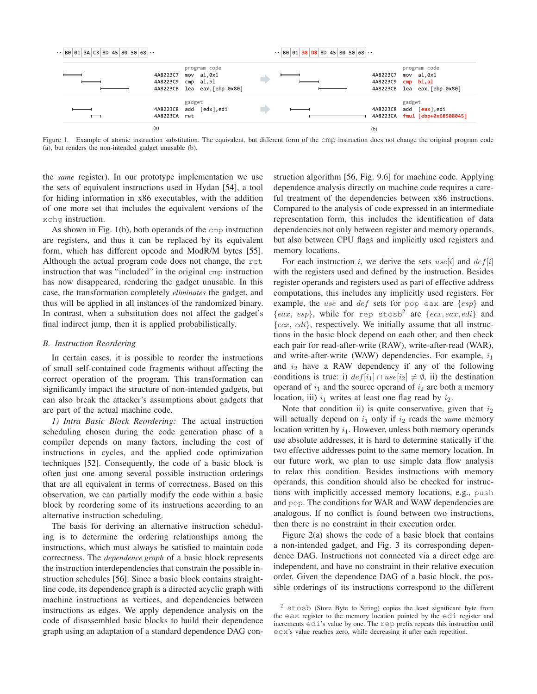

<span id="page-4-0"></span>Figure 1. Example of atomic instruction substitution. The equivalent, but different form of the cmp instruction does not change the original program code (a), but renders the non-intended gadget unusable (b).

the *same* register). In our prototype implementation we use the sets of equivalent instructions used in Hydan [\[54\]](#page-13-39), a tool for hiding information in x86 executables, with the addition of one more set that includes the equivalent versions of the xchg instruction.

As shown in Fig. [1\(](#page-4-0)b), both operands of the cmp instruction are registers, and thus it can be replaced by its equivalent form, which has different opcode and ModR/M bytes [\[55\]](#page-13-40). Although the actual program code does not change, the ret instruction that was "included" in the original cmp instruction has now disappeared, rendering the gadget unusable. In this case, the transformation completely *eliminates* the gadget, and thus will be applied in all instances of the randomized binary. In contrast, when a substitution does not affect the gadget's final indirect jump, then it is applied probabilistically.

## *B. Instruction Reordering*

In certain cases, it is possible to reorder the instructions of small self-contained code fragments without affecting the correct operation of the program. This transformation can significantly impact the structure of non-intended gadgets, but can also break the attacker's assumptions about gadgets that are part of the actual machine code.

*1) Intra Basic Block Reordering:* The actual instruction scheduling chosen during the code generation phase of a compiler depends on many factors, including the cost of instructions in cycles, and the applied code optimization techniques [\[52\]](#page-13-37). Consequently, the code of a basic block is often just one among several possible instruction orderings that are all equivalent in terms of correctness. Based on this observation, we can partially modify the code within a basic block by reordering some of its instructions according to an alternative instruction scheduling.

The basis for deriving an alternative instruction scheduling is to determine the ordering relationships among the instructions, which must always be satisfied to maintain code correctness. The *dependence graph* of a basic block represents the instruction interdependencies that constrain the possible instruction schedules [\[56\]](#page-13-41). Since a basic block contains straightline code, its dependence graph is a directed acyclic graph with machine instructions as vertices, and dependencies between instructions as edges. We apply dependence analysis on the code of disassembled basic blocks to build their dependence graph using an adaptation of a standard dependence DAG con-

struction algorithm [\[56,](#page-13-41) Fig. 9.6] for machine code. Applying dependence analysis directly on machine code requires a careful treatment of the dependencies between x86 instructions. Compared to the analysis of code expressed in an intermediate representation form, this includes the identification of data dependencies not only between register and memory operands, but also between CPU flags and implicitly used registers and memory locations.

For each instruction i, we derive the sets use [i] and  $def[i]$ with the registers used and defined by the instruction. Besides register operands and registers used as part of effective address computations, this includes any implicitly used registers. For example, the use and def sets for pop eax are  $\{esp\}$  and  ${eax, esp}$ , while for rep stosb<sup>[2](#page-4-1)</sup> are  ${ecx, eax, edi}$  and  ${ex, edi}$ , respectively. We initially assume that all instructions in the basic block depend on each other, and then check each pair for read-after-write (RAW), write-after-read (WAR), and write-after-write (WAW) dependencies. For example,  $i_1$ and  $i_2$  have a RAW dependency if any of the following conditions is true: i)  $def[i_1] \cap use[i_2] \neq \emptyset$ , ii) the destination operand of  $i_1$  and the source operand of  $i_2$  are both a memory location, iii)  $i_1$  writes at least one flag read by  $i_2$ .

Note that condition ii) is quite conservative, given that  $i_2$ will actually depend on  $i_1$  only if  $i_2$  reads the *same* memory location written by  $i_1$ . However, unless both memory operands use absolute addresses, it is hard to determine statically if the two effective addresses point to the same memory location. In our future work, we plan to use simple data flow analysis to relax this condition. Besides instructions with memory operands, this condition should also be checked for instructions with implicitly accessed memory locations, e.g., push and pop. The conditions for WAR and WAW dependencies are analogous. If no conflict is found between two instructions, then there is no constraint in their execution order.

Figure  $2(a)$  $2(a)$  shows the code of a basic block that contains a non-intended gadget, and Fig. [3](#page-5-1) its corresponding dependence DAG. Instructions not connected via a direct edge are independent, and have no constraint in their relative execution order. Given the dependence DAG of a basic block, the possible orderings of its instructions correspond to the different

<span id="page-4-1"></span> $2$  stosb (Store Byte to String) copies the least significant byte from the eax register to the memory location pointed by the edi register and increments edi's value by one. The rep prefix repeats this instruction until ecx's value reaches zero, while decreasing it after each repetition.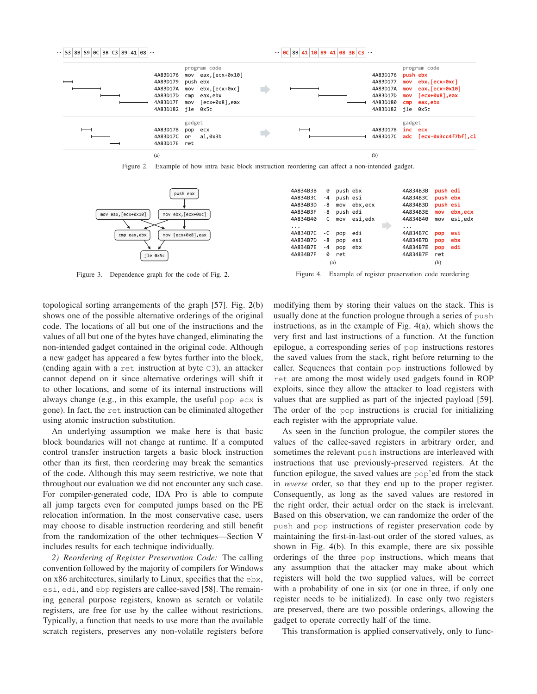

<span id="page-5-0"></span>Figure 2. Example of how intra basic block instruction reordering can affect a non-intended gadget.



<span id="page-5-1"></span>Figure 3. Dependence graph for the code of Fig. [2.](#page-5-0)

topological sorting arrangements of the graph [\[57\]](#page-13-42). Fig. [2\(](#page-5-0)b) shows one of the possible alternative orderings of the original code. The locations of all but one of the instructions and the values of all but one of the bytes have changed, eliminating the non-intended gadget contained in the original code. Although a new gadget has appeared a few bytes further into the block, (ending again with a ret instruction at byte C3), an attacker cannot depend on it since alternative orderings will shift it to other locations, and some of its internal instructions will always change (e.g., in this example, the useful pop ecx is gone). In fact, the ret instruction can be eliminated altogether using atomic instruction substitution.

An underlying assumption we make here is that basic block boundaries will not change at runtime. If a computed control transfer instruction targets a basic block instruction other than its first, then reordering may break the semantics of the code. Although this may seem restrictive, we note that throughout our evaluation we did not encounter any such case. For compiler-generated code, IDA Pro is able to compute all jump targets even for computed jumps based on the PE relocation information. In the most conservative case, users may choose to disable instruction reordering and still benefit from the randomization of the other techniques—Section [V](#page-7-0) includes results for each technique individually.

*2) Reordering of Register Preservation Code:* The calling convention followed by the majority of compilers for Windows on x86 architectures, similarly to Linux, specifies that the ebx, esi, edi, and ebp registers are callee-saved [\[58\]](#page-13-43). The remaining general purpose registers, known as scratch or volatile registers, are free for use by the callee without restrictions. Typically, a function that needs to use more than the available scratch registers, preserves any non-volatile registers before

| 0    |     |          |                                  | 4A834B3B |     |                                  |
|------|-----|----------|----------------------------------|----------|-----|----------------------------------|
| $-4$ |     |          |                                  | 4A834B3C |     |                                  |
| -8   | mov | ebx, ecx |                                  | 4A834B3D |     |                                  |
| $-8$ |     |          |                                  | 4A834B3E | mov | ebx, ecx                         |
| -C   | mov | esi.edx  |                                  | 4A834B40 | mov | esi.edx                          |
|      |     |          |                                  | .        |     |                                  |
| -C   | pop | edi      |                                  | 4A834B7C | pop | esi                              |
| $-8$ | pop | esi      |                                  | 4A834B7D | pop | ebx                              |
| $-4$ | pop | ebx      |                                  | 4A834B7E | pop | edi                              |
| 0    | ret |          |                                  | 4A834B7F | ret |                                  |
|      |     |          |                                  |          | (b) |                                  |
|      |     | (a)      | push ebx<br>push esi<br>push edi |          |     | push edi<br>push ebx<br>push esi |

<span id="page-5-2"></span>Figure 4. Example of register preservation code reordering.

modifying them by storing their values on the stack. This is usually done at the function prologue through a series of push instructions, as in the example of Fig. [4\(](#page-5-2)a), which shows the very first and last instructions of a function. At the function epilogue, a corresponding series of pop instructions restores the saved values from the stack, right before returning to the caller. Sequences that contain pop instructions followed by ret are among the most widely used gadgets found in ROP exploits, since they allow the attacker to load registers with values that are supplied as part of the injected payload [\[59\]](#page-13-44). The order of the pop instructions is crucial for initializing each register with the appropriate value.

As seen in the function prologue, the compiler stores the values of the callee-saved registers in arbitrary order, and sometimes the relevant push instructions are interleaved with instructions that use previously-preserved registers. At the function epilogue, the saved values are pop'ed from the stack in *reverse* order, so that they end up to the proper register. Consequently, as long as the saved values are restored in the right order, their actual order on the stack is irrelevant. Based on this observation, we can randomize the order of the push and pop instructions of register preservation code by maintaining the first-in-last-out order of the stored values, as shown in Fig. [4\(](#page-5-2)b). In this example, there are six possible orderings of the three pop instructions, which means that any assumption that the attacker may make about which registers will hold the two supplied values, will be correct with a probability of one in six (or one in three, if only one register needs to be initialized). In case only two registers are preserved, there are two possible orderings, allowing the gadget to operate correctly half of the time.

This transformation is applied conservatively, only to func-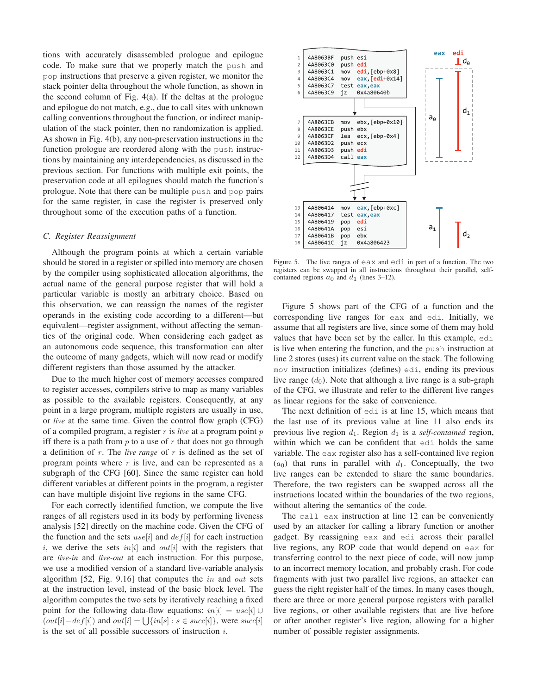tions with accurately disassembled prologue and epilogue code. To make sure that we properly match the push and pop instructions that preserve a given register, we monitor the stack pointer delta throughout the whole function, as shown in the second column of Fig. [4\(](#page-5-2)a). If the deltas at the prologue and epilogue do not match, e.g., due to call sites with unknown calling conventions throughout the function, or indirect manipulation of the stack pointer, then no randomization is applied. As shown in Fig. [4\(](#page-5-2)b), any non-preservation instructions in the function prologue are reordered along with the push instructions by maintaining any interdependencies, as discussed in the previous section. For functions with multiple exit points, the preservation code at all epilogues should match the function's prologue. Note that there can be multiple push and pop pairs for the same register, in case the register is preserved only throughout some of the execution paths of a function.

## *C. Register Reassignment*

Although the program points at which a certain variable should be stored in a register or spilled into memory are chosen by the compiler using sophisticated allocation algorithms, the actual name of the general purpose register that will hold a particular variable is mostly an arbitrary choice. Based on this observation, we can reassign the names of the register operands in the existing code according to a different—but equivalent—register assignment, without affecting the semantics of the original code. When considering each gadget as an autonomous code sequence, this transformation can alter the outcome of many gadgets, which will now read or modify different registers than those assumed by the attacker.

Due to the much higher cost of memory accesses compared to register accesses, compilers strive to map as many variables as possible to the available registers. Consequently, at any point in a large program, multiple registers are usually in use, or *live* at the same time. Given the control flow graph (CFG) of a compiled program, a register r is *live* at a program point p iff there is a path from  $p$  to a use of  $r$  that does not go through a definition of r. The *live range* of r is defined as the set of program points where  $r$  is live, and can be represented as a subgraph of the CFG [\[60\]](#page-13-45). Since the same register can hold different variables at different points in the program, a register can have multiple disjoint live regions in the same CFG.

For each correctly identified function, we compute the live ranges of all registers used in its body by performing liveness analysis [\[52\]](#page-13-37) directly on the machine code. Given the CFG of the function and the sets use |i| and  $defi$ | for each instruction i, we derive the sets  $in[i]$  and  $out[i]$  with the registers that are *live-in* and *live-out* at each instruction. For this purpose, we use a modified version of a standard live-variable analysis algorithm  $[52, Fig. 9.16]$  that computes the *in* and *out* sets at the instruction level, instead of the basic block level. The algorithm computes the two sets by iteratively reaching a fixed point for the following data-flow equations:  $in[i] = use[i] \cup$  $(out[i] - def[i])$  and  $out[i] = \bigcup \{in[s] : s \in succ[i]\},$  were  $succ[i]$ is the set of all possible successors of instruction  $i$ .



<span id="page-6-0"></span>Figure 5. The live ranges of eax and edi in part of a function. The two registers can be swapped in all instructions throughout their parallel, selfcontained regions  $a_0$  and  $d_1$  (lines 3–12).

Figure [5](#page-6-0) shows part of the CFG of a function and the corresponding live ranges for eax and edi. Initially, we assume that all registers are live, since some of them may hold values that have been set by the caller. In this example, edi is live when entering the function, and the push instruction at line 2 stores (uses) its current value on the stack. The following mov instruction initializes (defines) edi, ending its previous live range  $(d_0)$ . Note that although a live range is a sub-graph of the CFG, we illustrate and refer to the different live ranges as linear regions for the sake of convenience.

The next definition of edi is at line 15, which means that the last use of its previous value at line 11 also ends its previous live region  $d_1$ . Region  $d_1$  is a *self-contained* region, within which we can be confident that edi holds the same variable. The eax register also has a self-contained live region  $(a_0)$  that runs in parallel with  $d_1$ . Conceptually, the two live ranges can be extended to share the same boundaries. Therefore, the two registers can be swapped across all the instructions located within the boundaries of the two regions, without altering the semantics of the code.

The call eax instruction at line 12 can be conveniently used by an attacker for calling a library function or another gadget. By reassigning eax and edi across their parallel live regions, any ROP code that would depend on eax for transferring control to the next piece of code, will now jump to an incorrect memory location, and probably crash. For code fragments with just two parallel live regions, an attacker can guess the right register half of the times. In many cases though, there are three or more general purpose registers with parallel live regions, or other available registers that are live before or after another register's live region, allowing for a higher number of possible register assignments.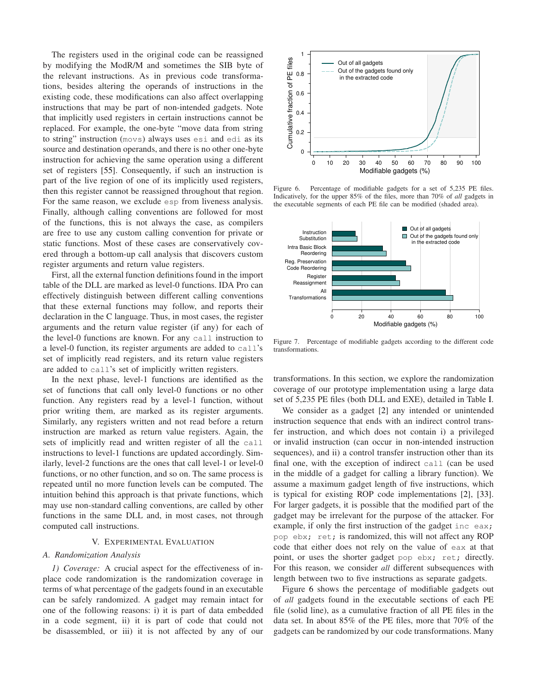The registers used in the original code can be reassigned by modifying the ModR/M and sometimes the SIB byte of the relevant instructions. As in previous code transformations, besides altering the operands of instructions in the existing code, these modifications can also affect overlapping instructions that may be part of non-intended gadgets. Note that implicitly used registers in certain instructions cannot be replaced. For example, the one-byte "move data from string to string" instruction (movs) always uses esi and edi as its source and destination operands, and there is no other one-byte instruction for achieving the same operation using a different set of registers [\[55\]](#page-13-40). Consequently, if such an instruction is part of the live region of one of its implicitly used registers, then this register cannot be reassigned throughout that region. For the same reason, we exclude esp from liveness analysis. Finally, although calling conventions are followed for most of the functions, this is not always the case, as compilers are free to use any custom calling convention for private or static functions. Most of these cases are conservatively covered through a bottom-up call analysis that discovers custom register arguments and return value registers.

First, all the external function definitions found in the import table of the DLL are marked as level-0 functions. IDA Pro can effectively distinguish between different calling conventions that these external functions may follow, and reports their declaration in the C language. Thus, in most cases, the register arguments and the return value register (if any) for each of the level-0 functions are known. For any call instruction to a level-0 function, its register arguments are added to call's set of implicitly read registers, and its return value registers are added to call's set of implicitly written registers.

In the next phase, level-1 functions are identified as the set of functions that call only level-0 functions or no other function. Any registers read by a level-1 function, without prior writing them, are marked as its register arguments. Similarly, any registers written and not read before a return instruction are marked as return value registers. Again, the sets of implicitly read and written register of all the call instructions to level-1 functions are updated accordingly. Similarly, level-2 functions are the ones that call level-1 or level-0 functions, or no other function, and so on. The same process is repeated until no more function levels can be computed. The intuition behind this approach is that private functions, which may use non-standard calling conventions, are called by other functions in the same DLL and, in most cases, not through computed call instructions.

## V. EXPERIMENTAL EVALUATION

## <span id="page-7-0"></span>*A. Randomization Analysis*

*1) Coverage:* A crucial aspect for the effectiveness of inplace code randomization is the randomization coverage in terms of what percentage of the gadgets found in an executable can be safely randomized. A gadget may remain intact for one of the following reasons: i) it is part of data embedded in a code segment, ii) it is part of code that could not be disassembled, or iii) it is not affected by any of our



<span id="page-7-1"></span>Figure 6. Percentage of modifiable gadgets for a set of 5,235 PE files. Indicatively, for the upper 85% of the files, more than 70% of *all* gadgets in the executable segments of each PE file can be modified (shaded area).



<span id="page-7-2"></span>Figure 7. Percentage of modifiable gadgets according to the different code transformations.

transformations. In this section, we explore the randomization coverage of our prototype implementation using a large data set of 5,235 PE files (both DLL and EXE), detailed in Table [I.](#page-8-0)

We consider as a gadget [\[2\]](#page-12-1) any intended or unintended instruction sequence that ends with an indirect control transfer instruction, and which does not contain i) a privileged or invalid instruction (can occur in non-intended instruction sequences), and ii) a control transfer instruction other than its final one, with the exception of indirect call (can be used in the middle of a gadget for calling a library function). We assume a maximum gadget length of five instructions, which is typical for existing ROP code implementations [\[2\]](#page-12-1), [\[33\]](#page-13-18). For larger gadgets, it is possible that the modified part of the gadget may be irrelevant for the purpose of the attacker. For example, if only the first instruction of the gadget inc eax; pop ebx; ret; is randomized, this will not affect any ROP code that either does not rely on the value of eax at that point, or uses the shorter gadget pop ebx; ret; directly. For this reason, we consider *all* different subsequences with length between two to five instructions as separate gadgets.

Figure [6](#page-7-1) shows the percentage of modifiable gadgets out of *all* gadgets found in the executable sections of each PE file (solid line), as a cumulative fraction of all PE files in the data set. In about 85% of the PE files, more that 70% of the gadgets can be randomized by our code transformations. Many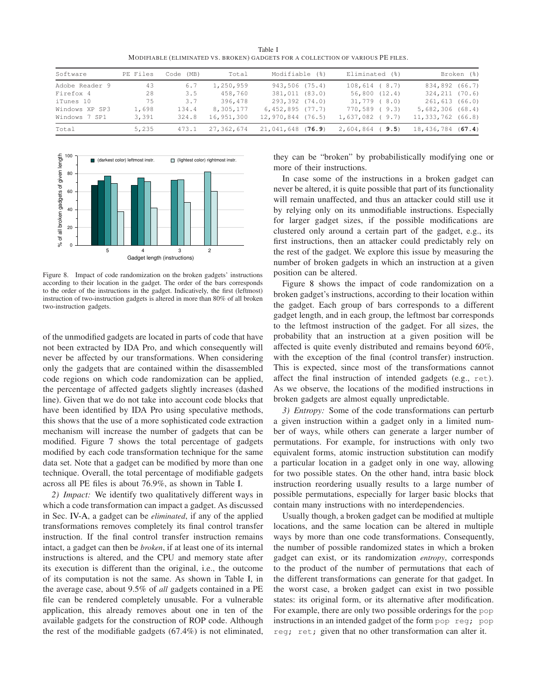Table I MODIFIABLE (ELIMINATED VS. BROKEN) GADGETS FOR A COLLECTION OF VARIOUS PE FILES.

<span id="page-8-0"></span>

| Software       | PE Files | Code (MB) | Total        | Modifiable (%)      | Eliminated (%)    | Broken (%)            |
|----------------|----------|-----------|--------------|---------------------|-------------------|-----------------------|
| Adobe Reader 9 | 43       | 6.7       | 1,250,959    | $943,506$ (75.4)    | $108,614$ (8.7)   | 834,892 (66.7)        |
| Firefox 4      | 28       | 3.5       | 458,760      | 381,011 (83.0)      | 56,800(12.4)      | $324, 211$ (70.6)     |
| iTunes 10      | 75       | 3.7       | 396,478      | 293,392 (74.0)      | $31,779$ (8.0)    | 261,613 (66.0)        |
| Windows XP SP3 | 1,698    | 134.4     | 8,305,177    | $6,452,895$ (77.7)  | $770,589$ (9.3)   | $5,682,306$ (68.4)    |
| Windows 7 SP1  | 3,391    | 324.8     | 16,951,300   | $12,970,844$ (76.5) | $1,637,082$ (9.7) | $11, 333, 762$ (66.8) |
| Total          | 5,235    | 473.1     | 27, 362, 674 | 21,041,648 (76.9)   | $2,604,864$ (9.5) | 18, 436, 784 (67.4)   |



<span id="page-8-1"></span>Figure 8. Impact of code randomization on the broken gadgets' instructions according to their location in the gadget. The order of the bars corresponds to the order of the instructions in the gadget. Indicatively, the first (leftmost) instruction of two-instruction gadgets is altered in more than 80% of all broken two-instruction gadgets.

of the unmodified gadgets are located in parts of code that have not been extracted by IDA Pro, and which consequently will never be affected by our transformations. When considering only the gadgets that are contained within the disassembled code regions on which code randomization can be applied, the percentage of affected gadgets slightly increases (dashed line). Given that we do not take into account code blocks that have been identified by IDA Pro using speculative methods, this shows that the use of a more sophisticated code extraction mechanism will increase the number of gadgets that can be modified. Figure [7](#page-7-2) shows the total percentage of gadgets modified by each code transformation technique for the same data set. Note that a gadget can be modified by more than one technique. Overall, the total percentage of modifiable gadgets across all PE files is about 76.9%, as shown in Table [I.](#page-8-0)

*2) Impact:* We identify two qualitatively different ways in which a code transformation can impact a gadget. As discussed in Sec. [IV-A,](#page-3-1) a gadget can be *eliminated*, if any of the applied transformations removes completely its final control transfer instruction. If the final control transfer instruction remains intact, a gadget can then be *broken*, if at least one of its internal instructions is altered, and the CPU and memory state after its execution is different than the original, i.e., the outcome of its computation is not the same. As shown in Table [I,](#page-8-0) in the average case, about 9.5% of *all* gadgets contained in a PE file can be rendered completely unusable. For a vulnerable application, this already removes about one in ten of the available gadgets for the construction of ROP code. Although the rest of the modifiable gadgets (67.4%) is not eliminated,

they can be "broken" by probabilistically modifying one or more of their instructions.

In case some of the instructions in a broken gadget can never be altered, it is quite possible that part of its functionality will remain unaffected, and thus an attacker could still use it by relying only on its unmodifiable instructions. Especially for larger gadget sizes, if the possible modifications are clustered only around a certain part of the gadget, e.g., its first instructions, then an attacker could predictably rely on the rest of the gadget. We explore this issue by measuring the number of broken gadgets in which an instruction at a given position can be altered.

Figure [8](#page-8-1) shows the impact of code randomization on a broken gadget's instructions, according to their location within the gadget. Each group of bars corresponds to a different gadget length, and in each group, the leftmost bar corresponds to the leftmost instruction of the gadget. For all sizes, the probability that an instruction at a given position will be affected is quite evenly distributed and remains beyond 60%, with the exception of the final (control transfer) instruction. This is expected, since most of the transformations cannot affect the final instruction of intended gadgets (e.g., ret). As we observe, the locations of the modified instructions in broken gadgets are almost equally unpredictable.

*3) Entropy:* Some of the code transformations can perturb a given instruction within a gadget only in a limited number of ways, while others can generate a larger number of permutations. For example, for instructions with only two equivalent forms, atomic instruction substitution can modify a particular location in a gadget only in one way, allowing for two possible states. On the other hand, intra basic block instruction reordering usually results to a large number of possible permutations, especially for larger basic blocks that contain many instructions with no interdependencies.

Usually though, a broken gadget can be modified at multiple locations, and the same location can be altered in multiple ways by more than one code transformations. Consequently, the number of possible randomized states in which a broken gadget can exist, or its randomization *entropy*, corresponds to the product of the number of permutations that each of the different transformations can generate for that gadget. In the worst case, a broken gadget can exist in two possible states: its original form, or its alternative after modification. For example, there are only two possible orderings for the pop instructions in an intended gadget of the form pop reg; pop reg; ret; given that no other transformation can alter it.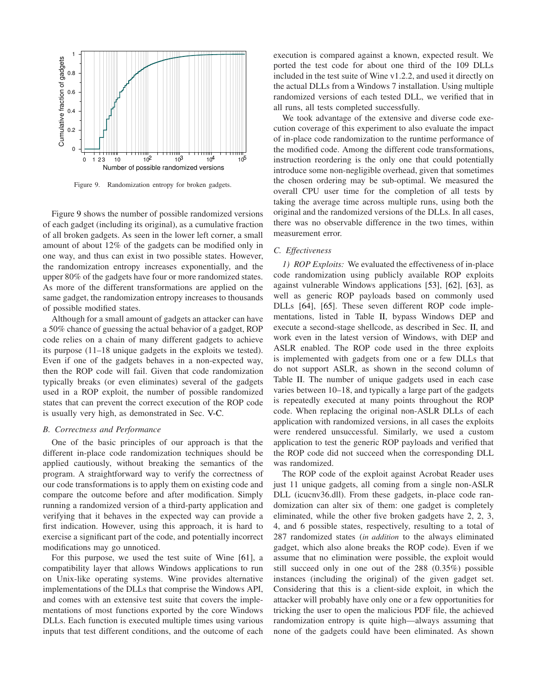

<span id="page-9-0"></span>Figure 9. Randomization entropy for broken gadgets.

Figure [9](#page-9-0) shows the number of possible randomized versions of each gadget (including its original), as a cumulative fraction of all broken gadgets. As seen in the lower left corner, a small amount of about 12% of the gadgets can be modified only in one way, and thus can exist in two possible states. However, the randomization entropy increases exponentially, and the upper 80% of the gadgets have four or more randomized states. As more of the different transformations are applied on the same gadget, the randomization entropy increases to thousands of possible modified states.

Although for a small amount of gadgets an attacker can have a 50% chance of guessing the actual behavior of a gadget, ROP code relies on a chain of many different gadgets to achieve its purpose (11–18 unique gadgets in the exploits we tested). Even if one of the gadgets behaves in a non-expected way, then the ROP code will fail. Given that code randomization typically breaks (or even eliminates) several of the gadgets used in a ROP exploit, the number of possible randomized states that can prevent the correct execution of the ROP code is usually very high, as demonstrated in Sec. [V-C.](#page-9-1)

#### *B. Correctness and Performance*

One of the basic principles of our approach is that the different in-place code randomization techniques should be applied cautiously, without breaking the semantics of the program. A straightforward way to verify the correctness of our code transformations is to apply them on existing code and compare the outcome before and after modification. Simply running a randomized version of a third-party application and verifying that it behaves in the expected way can provide a first indication. However, using this approach, it is hard to exercise a significant part of the code, and potentially incorrect modifications may go unnoticed.

For this purpose, we used the test suite of Wine [\[61\]](#page-13-46), a compatibility layer that allows Windows applications to run on Unix-like operating systems. Wine provides alternative implementations of the DLLs that comprise the Windows API, and comes with an extensive test suite that covers the implementations of most functions exported by the core Windows DLLs. Each function is executed multiple times using various inputs that test different conditions, and the outcome of each

execution is compared against a known, expected result. We ported the test code for about one third of the 109 DLLs included in the test suite of Wine v1.2.2, and used it directly on the actual DLLs from a Windows 7 installation. Using multiple randomized versions of each tested DLL, we verified that in all runs, all tests completed successfully.

We took advantage of the extensive and diverse code execution coverage of this experiment to also evaluate the impact of in-place code randomization to the runtime performance of the modified code. Among the different code transformations, instruction reordering is the only one that could potentially introduce some non-negligible overhead, given that sometimes the chosen ordering may be sub-optimal. We measured the overall CPU user time for the completion of all tests by taking the average time across multiple runs, using both the original and the randomized versions of the DLLs. In all cases, there was no observable difference in the two times, within measurement error.

## <span id="page-9-1"></span>*C. Effectiveness*

*1) ROP Exploits:* We evaluated the effectiveness of in-place code randomization using publicly available ROP exploits against vulnerable Windows applications [\[53\]](#page-13-38), [\[62\]](#page-13-47), [\[63\]](#page-13-48), as well as generic ROP payloads based on commonly used DLLs [\[64\]](#page-13-49), [\[65\]](#page-13-50). These seven different ROP code implementations, listed in Table [II,](#page-10-0) bypass Windows DEP and execute a second-stage shellcode, as described in Sec. [II,](#page-1-0) and work even in the latest version of Windows, with DEP and ASLR enabled. The ROP code used in the three exploits is implemented with gadgets from one or a few DLLs that do not support ASLR, as shown in the second column of Table [II.](#page-10-0) The number of unique gadgets used in each case varies between 10–18, and typically a large part of the gadgets is repeatedly executed at many points throughout the ROP code. When replacing the original non-ASLR DLLs of each application with randomized versions, in all cases the exploits were rendered unsuccessful. Similarly, we used a custom application to test the generic ROP payloads and verified that the ROP code did not succeed when the corresponding DLL was randomized.

The ROP code of the exploit against Acrobat Reader uses just 11 unique gadgets, all coming from a single non-ASLR DLL (icucnv36.dll). From these gadgets, in-place code randomization can alter six of them: one gadget is completely eliminated, while the other five broken gadgets have 2, 2, 3, 4, and 6 possible states, respectively, resulting to a total of 287 randomized states (*in addition* to the always eliminated gadget, which also alone breaks the ROP code). Even if we assume that no elimination were possible, the exploit would still succeed only in one out of the 288 (0.35%) possible instances (including the original) of the given gadget set. Considering that this is a client-side exploit, in which the attacker will probably have only one or a few opportunities for tricking the user to open the malicious PDF file, the achieved randomization entropy is quite high—always assuming that none of the gadgets could have been eliminated. As shown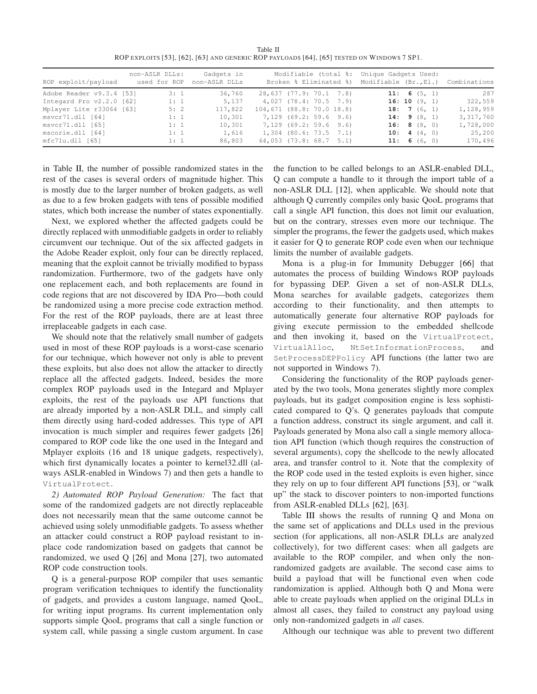Table II ROP EXPLOITS [\[53\]](#page-13-38), [\[62\]](#page-13-47), [\[63\]](#page-13-48) AND GENERIC ROP PAYLOADS [\[64\]](#page-13-49), [\[65\]](#page-13-50) TESTED ON WINDOWS 7 SP1.

<span id="page-10-0"></span>

| ROP exploit/payload      | non-ASLR DLLs:<br>used for ROP | Gadgets in<br>non-ASLR DLLs | Modifiable (total %: Unique Gadgets Used: |  |                 | Broken % Eliminated %) Modifiable (Br., El.) Combinations |
|--------------------------|--------------------------------|-----------------------------|-------------------------------------------|--|-----------------|-----------------------------------------------------------|
| Adobe Reader v9.3.4 [53] | 3:1                            | 36,760                      | 28,637 (77.9: 70.1 7.8)                   |  | 11: 6 $(5, 1)$  | 287                                                       |
| Integard Pro v2.2.0 [62] | 1:1                            | 5,137                       | 4,027 (78.4: 70.5 7.9)                    |  | 16: 10 $(9, 1)$ | 322,559                                                   |
| Mplayer Lite r33064 [63] | 5:2                            | 117,822                     | 104,671 (88.8: 70.0 18.8)                 |  | 18: 7 $(6, 1)$  | 1,128,959                                                 |
| msvcr71.dll [64]         | 1:1                            | 10,301                      | $7,129$ (69.2: 59.6 9.6)                  |  | 14: 9(8, 1)     | 3, 317, 760                                               |
| msvcr71.dll [65]         | 1:1                            | 10,301                      | $7,129$ (69.2: 59.6 9.6)                  |  | 16: 8(8, 0)     | 1,728,000                                                 |
| mscorie.dll [64]         | 1:1                            | 1,616                       | $1,304$ (80.6: 73.5 7.1)                  |  | 10: 4 $(4, 0)$  | 25,200                                                    |
| mfc71u.dll [65]          | 1:1                            | 86,803                      | $64,053$ (73.8: 68.7 5.1)                 |  | 11: 6 $(6, 0)$  | 170,496                                                   |

in Table [II,](#page-10-0) the number of possible randomized states in the rest of the cases is several orders of magnitude higher. This is mostly due to the larger number of broken gadgets, as well as due to a few broken gadgets with tens of possible modified states, which both increase the number of states exponentially.

Next, we explored whether the affected gadgets could be directly replaced with unmodifiable gadgets in order to reliably circumvent our technique. Out of the six affected gadgets in the Adobe Reader exploit, only four can be directly replaced, meaning that the exploit cannot be trivially modified to bypass randomization. Furthermore, two of the gadgets have only one replacement each, and both replacements are found in code regions that are not discovered by IDA Pro—both could be randomized using a more precise code extraction method. For the rest of the ROP payloads, there are at least three irreplaceable gadgets in each case.

We should note that the relatively small number of gadgets used in most of these ROP payloads is a worst-case scenario for our technique, which however not only is able to prevent these exploits, but also does not allow the attacker to directly replace all the affected gadgets. Indeed, besides the more complex ROP payloads used in the Integard and Mplayer exploits, the rest of the payloads use API functions that are already imported by a non-ASLR DLL, and simply call them directly using hard-coded addresses. This type of API invocation is much simpler and requires fewer gadgets [\[26\]](#page-13-11) compared to ROP code like the one used in the Integard and Mplayer exploits (16 and 18 unique gadgets, respectively), which first dynamically locates a pointer to kernel32.dll (always ASLR-enabled in Windows 7) and then gets a handle to VirtualProtect.

*2) Automated ROP Payload Generation:* The fact that some of the randomized gadgets are not directly replaceable does not necessarily mean that the same outcome cannot be achieved using solely unmodifiable gadgets. To assess whether an attacker could construct a ROP payload resistant to inplace code randomization based on gadgets that cannot be randomized, we used Q [\[26\]](#page-13-11) and Mona [\[27\]](#page-13-12), two automated ROP code construction tools.

Q is a general-purpose ROP compiler that uses semantic program verification techniques to identify the functionality of gadgets, and provides a custom language, named QooL, for writing input programs. Its current implementation only supports simple QooL programs that call a single function or system call, while passing a single custom argument. In case

the function to be called belongs to an ASLR-enabled DLL, Q can compute a handle to it through the import table of a non-ASLR DLL [\[12\]](#page-12-9), when applicable. We should note that although Q currently compiles only basic QooL programs that call a single API function, this does not limit our evaluation, but on the contrary, stresses even more our technique. The simpler the programs, the fewer the gadgets used, which makes it easier for Q to generate ROP code even when our technique limits the number of available gadgets.

Mona is a plug-in for Immunity Debugger [\[66\]](#page-13-51) that automates the process of building Windows ROP payloads for bypassing DEP. Given a set of non-ASLR DLLs, Mona searches for available gadgets, categorizes them according to their functionality, and then attempts to automatically generate four alternative ROP payloads for giving execute permission to the embedded shellcode and then invoking it, based on the VirtualProtect, VirtualAlloc, NtSetInformationProcess, and SetProcessDEPPolicy API functions (the latter two are not supported in Windows 7).

Considering the functionality of the ROP payloads generated by the two tools, Mona generates slightly more complex payloads, but its gadget composition engine is less sophisticated compared to Q's. Q generates payloads that compute a function address, construct its single argument, and call it. Payloads generated by Mona also call a single memory allocation API function (which though requires the construction of several arguments), copy the shellcode to the newly allocated area, and transfer control to it. Note that the complexity of the ROP code used in the tested exploits is even higher, since they rely on up to four different API functions [\[53\]](#page-13-38), or "walk up" the stack to discover pointers to non-imported functions from ASLR-enabled DLLs [\[62\]](#page-13-47), [\[63\]](#page-13-48).

Table [III](#page-11-0) shows the results of running Q and Mona on the same set of applications and DLLs used in the previous section (for applications, all non-ASLR DLLs are analyzed collectively), for two different cases: when all gadgets are available to the ROP compiler, and when only the nonrandomized gadgets are available. The second case aims to build a payload that will be functional even when code randomization is applied. Although both Q and Mona were able to create payloads when applied on the original DLLs in almost all cases, they failed to construct any payload using only non-randomized gadgets in *all* cases.

Although our technique was able to prevent two different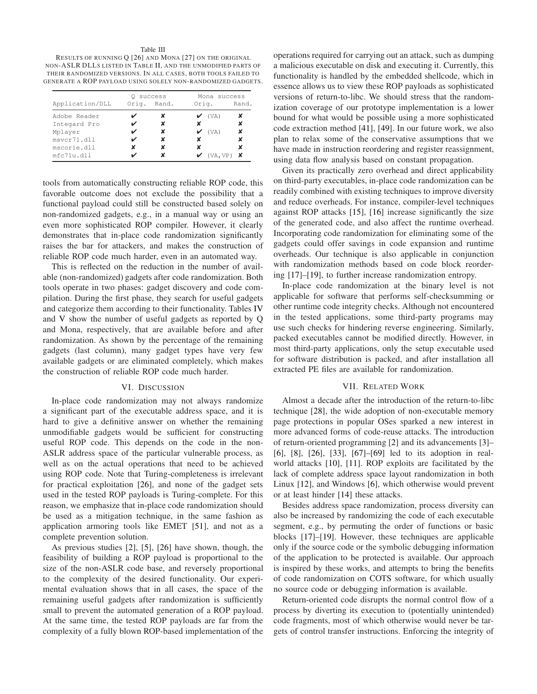#### Table III

<span id="page-11-0"></span>RESULTS OF RUNNING Q [\[26\]](#page-13-11) AND MONA [\[27\]](#page-13-12) ON THE ORIGINAL NON-ASLR DLLS LISTED IN TABLE [II,](#page-10-0) AND THE UNMODIFIED PARTS OF THEIR RANDOMIZED VERSIONS. IN ALL CASES, BOTH TOOLS FAILED TO GENERATE A ROP PAYLOAD USING SOLELY NON-RANDOMIZED GADGETS.

|                 | success     | Mona success |               |  |  |
|-----------------|-------------|--------------|---------------|--|--|
| Application/DLL | Orig. Rand. | Orig.        | Rand.         |  |  |
| Adobe Reader    | x           |              | x<br>(VA)     |  |  |
| Integard Pro    | x           |              | x             |  |  |
| Mplayer         | x           |              | x<br>(VA)     |  |  |
| msvcr71.dll     | x           |              | x             |  |  |
| mscorie.dll     | x           |              | x             |  |  |
| mfc71u.dll      |             |              | x<br>(VA, VP) |  |  |

tools from automatically constructing reliable ROP code, this favorable outcome does not exclude the possibility that a functional payload could still be constructed based solely on non-randomized gadgets, e.g., in a manual way or using an even more sophisticated ROP compiler. However, it clearly demonstrates that in-place code randomization significantly raises the bar for attackers, and makes the construction of reliable ROP code much harder, even in an automated way.

This is reflected on the reduction in the number of available (non-randomized) gadgets after code randomization. Both tools operate in two phases: gadget discovery and code compilation. During the first phase, they search for useful gadgets and categorize them according to their functionality. Tables [IV](#page-12-11) and [V](#page-14-0) show the number of useful gadgets as reported by Q and Mona, respectively, that are available before and after randomization. As shown by the percentage of the remaining gadgets (last column), many gadget types have very few available gadgets or are eliminated completely, which makes the construction of reliable ROP code much harder.

## VI. DISCUSSION

In-place code randomization may not always randomize a significant part of the executable address space, and it is hard to give a definitive answer on whether the remaining unmodifiable gadgets would be sufficient for constructing useful ROP code. This depends on the code in the non-ASLR address space of the particular vulnerable process, as well as on the actual operations that need to be achieved using ROP code. Note that Turing-completeness is irrelevant for practical exploitation [\[26\]](#page-13-11), and none of the gadget sets used in the tested ROP payloads is Turing-complete. For this reason, we emphasize that in-place code randomization should be used as a mitigation technique, in the same fashion as application armoring tools like EMET [\[51\]](#page-13-36), and not as a complete prevention solution.

As previous studies [\[2\]](#page-12-1), [\[5\]](#page-12-4), [\[26\]](#page-13-11) have shown, though, the feasibility of building a ROP payload is proportional to the size of the non-ASLR code base, and reversely proportional to the complexity of the desired functionality. Our experimental evaluation shows that in all cases, the space of the remaining useful gadgets after randomization is sufficiently small to prevent the automated generation of a ROP payload. At the same time, the tested ROP payloads are far from the complexity of a fully blown ROP-based implementation of the operations required for carrying out an attack, such as dumping a malicious executable on disk and executing it. Currently, this functionality is handled by the embedded shellcode, which in essence allows us to view these ROP payloads as sophisticated versions of return-to-libc. We should stress that the randomization coverage of our prototype implementation is a lower bound for what would be possible using a more sophisticated code extraction method [\[41\]](#page-13-26), [\[49\]](#page-13-34). In our future work, we also plan to relax some of the conservative assumptions that we have made in instruction reordering and register reassignment, using data flow analysis based on constant propagation.

Given its practically zero overhead and direct applicability on third-party executables, in-place code randomization can be readily combined with existing techniques to improve diversity and reduce overheads. For instance, compiler-level techniques against ROP attacks [\[15\]](#page-13-1), [\[16\]](#page-13-2) increase significantly the size of the generated code, and also affect the runtime overhead. Incorporating code randomization for eliminating some of the gadgets could offer savings in code expansion and runtime overheads. Our technique is also applicable in conjunction with randomization methods based on code block reordering [\[17\]](#page-13-3)–[\[19\]](#page-13-4), to further increase randomization entropy.

In-place code randomization at the binary level is not applicable for software that performs self-checksumming or other runtime code integrity checks. Although not encountered in the tested applications, some third-party programs may use such checks for hindering reverse engineering. Similarly, packed executables cannot be modified directly. However, in most third-party applications, only the setup executable used for software distribution is packed, and after installation all extracted PE files are available for randomization.

### VII. RELATED WORK

Almost a decade after the introduction of the return-to-libc technique [\[28\]](#page-13-13), the wide adoption of non-executable memory page protections in popular OSes sparked a new interest in more advanced forms of code-reuse attacks. The introduction of return-oriented programming [\[2\]](#page-12-1) and its advancements [\[3\]](#page-12-2)– [\[6\]](#page-12-5), [\[8\]](#page-12-12), [\[26\]](#page-13-11), [\[33\]](#page-13-18), [\[67\]](#page-13-52)–[\[69\]](#page-13-53) led to its adoption in realworld attacks [\[10\]](#page-12-7), [\[11\]](#page-12-8). ROP exploits are facilitated by the lack of complete address space layout randomization in both Linux [\[12\]](#page-12-9), and Windows [\[6\]](#page-12-5), which otherwise would prevent or at least hinder [\[14\]](#page-13-0) these attacks.

Besides address space randomization, process diversity can also be increased by randomizing the code of each executable segment, e.g., by permuting the order of functions or basic blocks [\[17\]](#page-13-3)–[\[19\]](#page-13-4). However, these techniques are applicable only if the source code or the symbolic debugging information of the application to be protected is available. Our approach is inspired by these works, and attempts to bring the benefits of code randomization on COTS software, for which usually no source code or debugging information is available.

Return-oriented code disrupts the normal control flow of a process by diverting its execution to (potentially unintended) code fragments, most of which otherwise would never be targets of control transfer instructions. Enforcing the integrity of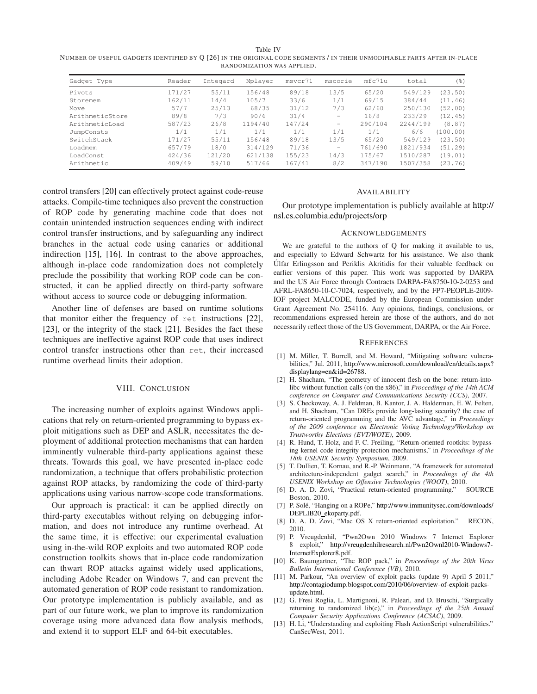<span id="page-12-11"></span>Table IV NUMBER OF USEFUL GADGETS IDENTIFIED BY Q [\[26\]](#page-13-11) IN THE ORIGINAL CODE SEGMENTS / IN THEIR UNMODIFIABLE PARTS AFTER IN-PLACE RANDOMIZATION WAS APPLIED.

| Gadget Type     | Reader | Integard | Mplayer | msvcr71 | mscorie                  | mfc71u  | total    | $($ $\frac{6}{6}$ $)$ |
|-----------------|--------|----------|---------|---------|--------------------------|---------|----------|-----------------------|
| Pivots          | 171/27 | 55/11    | 156/48  | 89/18   | 13/5                     | 65/20   | 549/129  | (23.50)               |
| Storemem        | 162/11 | 14/4     | 105/7   | 33/6    | 1/1                      | 69/15   | 384/44   | (11.46)               |
| Move            | 57/7   | 25/13    | 68/35   | 31/12   | 7/3                      | 62/60   | 250/130  | (52.00)               |
| ArithmeticStore | 89/8   | 7/3      | 90/6    | 31/4    | $\qquad \qquad -$        | 16/8    | 233/29   | (12.45)               |
| ArithmeticLoad  | 587/23 | 26/8     | 1194/40 | 147/24  | $\qquad \qquad -$        | 290/104 | 2244/199 | (8.87)                |
| JumpConsts      | 1/1    | 1/1      | 1/1     | 1/1     | 1/1                      | 1/1     | 6/6      | (100.00)              |
| SwitchStack     | 171/27 | 55/11    | 156/48  | 89/18   | 13/5                     | 65/20   | 549/129  | (23.50)               |
| Loadmem         | 657/79 | 18/0     | 314/129 | 71/36   | $\overline{\phantom{m}}$ | 761/690 | 1821/934 | (51.29)               |
| LoadConst       | 424/36 | 121/20   | 621/138 | 155/23  | 14/3                     | 175/67  | 1510/287 | (19.01)               |
| Arithmetic      | 409/49 | 59/10    | 517/66  | 167/41  | 8/2                      | 347/190 | 1507/358 | (23.76)               |

control transfers [\[20\]](#page-13-5) can effectively protect against code-reuse attacks. Compile-time techniques also prevent the construction of ROP code by generating machine code that does not contain unintended instruction sequences ending with indirect control transfer instructions, and by safeguarding any indirect branches in the actual code using canaries or additional indirection [\[15\]](#page-13-1), [\[16\]](#page-13-2). In contrast to the above approaches, although in-place code randomization does not completely preclude the possibility that working ROP code can be constructed, it can be applied directly on third-party software without access to source code or debugging information.

Another line of defenses are based on runtime solutions that monitor either the frequency of ret instructions [\[22\]](#page-13-54), [\[23\]](#page-13-7), or the integrity of the stack [\[21\]](#page-13-6). Besides the fact these techniques are ineffective against ROP code that uses indirect control transfer instructions other than ret, their increased runtime overhead limits their adoption.

### VIII. CONCLUSION

The increasing number of exploits against Windows applications that rely on return-oriented programming to bypass exploit mitigations such as DEP and ASLR, necessitates the deployment of additional protection mechanisms that can harden imminently vulnerable third-party applications against these threats. Towards this goal, we have presented in-place code randomization, a technique that offers probabilistic protection against ROP attacks, by randomizing the code of third-party applications using various narrow-scope code transformations.

Our approach is practical: it can be applied directly on third-party executables without relying on debugging information, and does not introduce any runtime overhead. At the same time, it is effective: our experimental evaluation using in-the-wild ROP exploits and two automated ROP code construction toolkits shows that in-place code randomization can thwart ROP attacks against widely used applications, including Adobe Reader on Windows 7, and can prevent the automated generation of ROP code resistant to randomization. Our prototype implementation is publicly available, and as part of our future work, we plan to improve its randomization coverage using more advanced data flow analysis methods, and extend it to support ELF and 64-bit executables.

## AVAILABILITY

Our prototype implementation is publicly available at [http://](http://nsl.cs.columbia.edu/projects/orp) [nsl.cs.columbia.edu/projects/orp](http://nsl.cs.columbia.edu/projects/orp)

#### ACKNOWLEDGEMENTS

We are grateful to the authors of Q for making it available to us, and especially to Edward Schwartz for his assistance. We also thank Ulfar Erlingsson and Periklis Akritidis for their valuable ´ feedback on earlier versions of this paper. This work was supported by DARPA and the US Air Force through Contracts DARPA-FA8750-10-2-0253 and AFRL-FA8650-10-C-7024, respectively, and by the FP7-PEOPLE-2009- IOF project MALCODE, funded by the European Commission under Grant Agreement No. 254116. Any opinions, findings, conclusions, or recommendations expressed herein are those of the authors, and do not necessarily reflect those of the US Government, DARPA, or the Air Force.

#### **REFERENCES**

- <span id="page-12-0"></span>[1] M. Miller, T. Burrell, and M. Howard, "Mitigating software vulnerabilities," Jul. 2011, [http://www.microsoft.com/download/en/details.aspx?](http://www.microsoft.com/download/en/details.aspx?displaylang=en&id=26788) [displaylang=en&id=26788.](http://www.microsoft.com/download/en/details.aspx?displaylang=en&id=26788)
- <span id="page-12-1"></span>[2] H. Shacham, "The geometry of innocent flesh on the bone: return-intolibc without function calls (on the x86)," in *Proceedings of the 14th ACM conference on Computer and Communications Security (CCS)*, 2007.
- <span id="page-12-2"></span>[3] S. Checkoway, A. J. Feldman, B. Kantor, J. A. Halderman, E. W. Felten, and H. Shacham, "Can DREs provide long-lasting security? the case of return-oriented programming and the AVC advantage," in *Proceedings of the 2009 conference on Electronic Voting Technology/Workshop on Trustworthy Elections (EVT/WOTE)*, 2009.
- <span id="page-12-3"></span>[4] R. Hund, T. Holz, and F. C. Freiling, "Return-oriented rootkits: bypassing kernel code integrity protection mechanisms," in *Proceedings of the 18th USENIX Security Symposium*, 2009.
- <span id="page-12-4"></span>[5] T. Dullien, T. Kornau, and R.-P. Weinmann, "A framework for automated architecture-independent gadget search," in *Proceedings of the 4th USENIX Workshop on Offensive Technologies (WOOT)*, 2010.
- <span id="page-12-5"></span>[6] D. A. D. Zovi, "Practical return-oriented programming." Boston, 2010.
- [7] P. Solé, "Hanging on a ROPe," [http://www.immunitysec.com/downloads/](http://www.immunitysec.com/downloads/DEPLIB20_ekoparty.pdf) DEPLIB20 [ekoparty.pdf.](http://www.immunitysec.com/downloads/DEPLIB20_ekoparty.pdf)
- <span id="page-12-12"></span>[8] D. A. D. Zovi, "Mac OS X return-oriented exploitation." RECON, 2010.
- <span id="page-12-6"></span>[9] P. Vreugdenhil, "Pwn2Own 2010 Windows 7 Internet Explorer 8 exploit," <http://vreugdenhilresearch.nl/Pwn2Ownl2010-Windows7-> [InternetExplorer8.pdf.](InternetExplorer8.pdf)
- <span id="page-12-7"></span>[10] K. Baumgartner, "The ROP pack," in *Proceedings of the 20th Virus Bulletin International Conference (VB)*, 2010.
- <span id="page-12-8"></span>[11] M. Parkour, "An overview of exploit packs (update 9) April 5 2011," [http://contagiodump.blogspot.com/2010/06/overview-of-exploit-packs](http://contagiodump.blogspot.com/2010/06/overview-of-exploit-packs-)[update.html.](update.html)
- <span id="page-12-9"></span>[12] G. Fresi Roglia, L. Martignoni, R. Paleari, and D. Bruschi, "Surgically returning to randomized lib(c)," in *Proceedings of the 25th Annual Computer Security Applications Conference (ACSAC)*, 2009.
- <span id="page-12-10"></span>[13] H. Li, "Understanding and exploiting Flash ActionScript vulnerabilities." CanSecWest, 2011.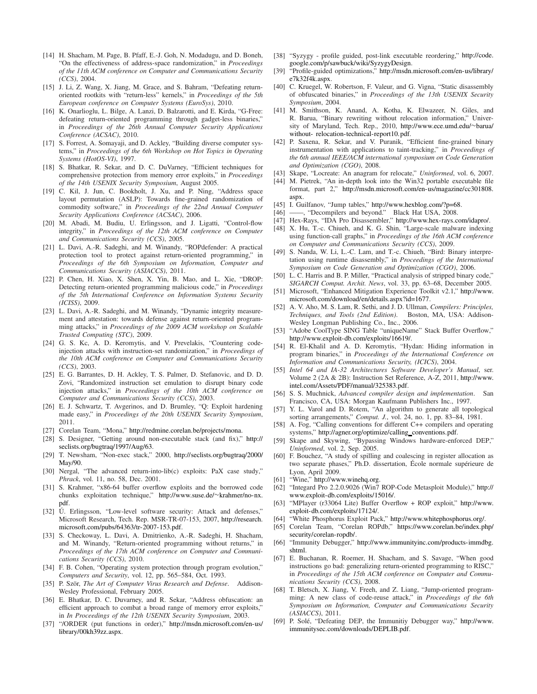- <span id="page-13-0"></span>[14] H. Shacham, M. Page, B. Pfaff, E.-J. Goh, N. Modadugu, and D. Boneh, "On the effectiveness of address-space randomization," in *Proceedings of the 11th ACM conference on Computer and Communications Security (CCS)*, 2004.
- <span id="page-13-1"></span>[15] J. Li, Z. Wang, X. Jiang, M. Grace, and S. Bahram, "Defeating returnoriented rootkits with "return-less" kernels," in *Proceedings of the 5th European conference on Computer Systems (EuroSys)*, 2010.
- <span id="page-13-2"></span>[16] K. Onarlioglu, L. Bilge, A. Lanzi, D. Balzarotti, and E. Kirda, "G-Free: defeating return-oriented programming through gadget-less binaries," in *Proceedings of the 26th Annual Computer Security Applications Conference (ACSAC)*, 2010.
- <span id="page-13-3"></span>[17] S. Forrest, A. Somayaji, and D. Ackley, "Building diverse computer systems," in *Proceedings of the 6th Workshop on Hot Topics in Operating Systems (HotOS-VI)*, 1997.
- <span id="page-13-8"></span>[18] S. Bhatkar, R. Sekar, and D. C. DuVarney, "Efficient techniques for comprehensive protection from memory error exploits," in *Proceedings of the 14th USENIX Security Symposium*, August 2005.
- <span id="page-13-4"></span>[19] C. Kil, J. Jun, C. Bookholt, J. Xu, and P. Ning, "Address space layout permutation (ASLP): Towards fine-grained randomization of commodity software," in *Proceedings of the 22nd Annual Computer Security Applications Conference (ACSAC)*, 2006.
- <span id="page-13-5"></span>[20] M. Abadi, M. Budiu, U. Erlingsson, and J. Ligatti, "Control-flow integrity," in *Proceedings of the 12th ACM conference on Computer and Communications Security (CCS)*, 2005.
- <span id="page-13-6"></span>[21] L. Davi, A.-R. Sadeghi, and M. Winandy, "ROPdefender: A practical protection tool to protect against return-oriented programming," in *Proceedings of the 6th Symposium on Information, Computer and Communications Security (ASIACCS)*, 2011.
- <span id="page-13-54"></span>[22] P. Chen, H. Xiao, X. Shen, X. Yin, B. Mao, and L. Xie, "DROP: Detecting return-oriented programming malicious code," in *Proceedings of the 5th International Conference on Information Systems Security (ICISS)*, 2009.
- <span id="page-13-7"></span>[23] L. Davi, A.-R. Sadeghi, and M. Winandy, "Dynamic integrity measurement and attestation: towards defense against return-oriented programming attacks," in *Proceedings of the 2009 ACM workshop on Scalable Trusted Computing (STC)*, 2009.
- <span id="page-13-9"></span>[24] G. S. Kc, A. D. Keromytis, and V. Prevelakis, "Countering codeinjection attacks with instruction-set randomization," in *Proceedings of the 10th ACM conference on Computer and Communications Security (CCS)*, 2003.
- <span id="page-13-10"></span>[25] E. G. Barrantes, D. H. Ackley, T. S. Palmer, D. Stefanovic, and D. D. Zovi, "Randomized instruction set emulation to disrupt binary code injection attacks," in *Proceedings of the 10th ACM conference on Computer and Communications Security (CCS)*, 2003.
- <span id="page-13-11"></span>[26] E. J. Schwartz, T. Avgerinos, and D. Brumley, "Q: Exploit hardening made easy," in *Proceedings of the 20th USENIX Security Symposium*, 2011.
- <span id="page-13-13"></span><span id="page-13-12"></span>[27] Corelan Team, "Mona," [http://redmine.corelan.be/projects/mona.](http://redmine.corelan.be/projects/mona)
- [28] S. Designer, "Getting around non-executable stack (and fix)," [http://](http://seclists.org/bugtraq/1997/Aug/63) [seclists.org/bugtraq/1997/Aug/63.](http://seclists.org/bugtraq/1997/Aug/63)
- <span id="page-13-14"></span>[29] T. Newsham, "Non-exec stack," 2000, [http://seclists.org/bugtraq/2000/](http://seclists.org/bugtraq/2000/May/90) [May/90.](http://seclists.org/bugtraq/2000/May/90)
- <span id="page-13-15"></span>[30] Nergal, "The advanced return-into-lib(c) exploits: PaX case study," *Phrack*, vol. 11, no. 58, Dec. 2001.
- <span id="page-13-16"></span>[31] S. Krahmer, "x86-64 buffer overflow exploits and the borrowed code chunks exploitation technique," [http://www.suse.de/](http://www.suse.de/~krahmer/no-nx.pdf)∼krahmer/no-nx. [pdf.](http://www.suse.de/~krahmer/no-nx.pdf)
- <span id="page-13-17"></span>[32] Ú. Erlingsson, "Low-level software security: Attack and defenses," Microsoft Research, Tech. Rep. MSR-TR-07-153, 2007, [http://research.](http://research.microsoft.com/pubs/64363/tr-2007-153.pdf) [microsoft.com/pubs/64363/tr-2007-153.pdf.](http://research.microsoft.com/pubs/64363/tr-2007-153.pdf)
- <span id="page-13-18"></span>[33] S. Checkoway, L. Davi, A. Dmitrienko, A.-R. Sadeghi, H. Shacham, and M. Winandy, "Return-oriented programming without returns," in *Proceedings of the 17th ACM conference on Computer and Communications Security (CCS)*, 2010.
- <span id="page-13-19"></span>[34] F. B. Cohen, "Operating system protection through program evolution," *Computers and Security*, vol. 12, pp. 565–584, Oct. 1993.
- <span id="page-13-20"></span>[35] P. Ször, *The Art of Computer Virus Research and Defense*. Addison-Wesley Professional, February 2005.
- <span id="page-13-21"></span>[36] E. Bhatkar, D. C. Duvarney, and R. Sekar, "Address obfuscation: an efficient approach to combat a broad range of memory error exploits," in *In Proceedings of the 12th USENIX Security Symposium*, 2003.
- <span id="page-13-22"></span>[37] "/ORDER (put functions in order)," [http://msdn.microsoft.com/en-us/](http://msdn.microsoft.com/en-us/library/00kh39zz.aspx) [library/00kh39zz.aspx.](http://msdn.microsoft.com/en-us/library/00kh39zz.aspx)
- <span id="page-13-23"></span>[38] "Syzygy - profile guided, post-link executable reordering," [http://code.](http://code.google.com/p/sawbuck/wiki/SyzygyDesign) [google.com/p/sawbuck/wiki/SyzygyDesign.](http://code.google.com/p/sawbuck/wiki/SyzygyDesign)
- <span id="page-13-24"></span>[39] "Profile-guided optimizations," [http://msdn.microsoft.com/en-us/library/](http://msdn.microsoft.com/en-us/library/e7k32f4k.aspx) [e7k32f4k.aspx.](http://msdn.microsoft.com/en-us/library/e7k32f4k.aspx)
- <span id="page-13-25"></span>[40] C. Kruegel, W. Robertson, F. Valeur, and G. Vigna, "Static disassembly of obfuscated binaries," in *Proceedings of the 13th USENIX Security Symposium*, 2004.
- <span id="page-13-26"></span>[41] M. Smithson, K. Anand, A. Kotha, K. Elwazeer, N. Giles, and R. Barua, "Binary rewriting without relocation information," University of Maryland, Tech. Rep., 2010, [http://www.ece.umd.edu/](http://www.ece.umd.edu/~barua/without-)∼barua/ [without-](http://www.ece.umd.edu/~barua/without-) [relocation-technical-report10.pdf.](relocation-technical-report10.pdf)
- <span id="page-13-27"></span>[42] P. Saxena, R. Sekar, and V. Puranik, "Efficient fine-grained binary instrumentation with applications to taint-tracking," in *Proceedings of the 6th annual IEEE/ACM international symposium on Code Generation and Optimization (CGO)*, 2008.
- <span id="page-13-29"></span><span id="page-13-28"></span>[43] Skape, "Locreate: An anagram for relocate," *Uninformed*, vol. 6, 2007.
- [44] M. Pietrek, "An in-depth look into the Win32 portable executable file format, part 2," [http://msdn.microsoft.com/en-us/magazine/cc301808.](http://msdn.microsoft.com/en-us/magazine/cc301808.aspx) [aspx.](http://msdn.microsoft.com/en-us/magazine/cc301808.aspx)
- <span id="page-13-31"></span><span id="page-13-30"></span>[45] I. Guilfanov, "Jump tables," [http://www.hexblog.com/?p=68.](http://www.hexblog.com/?p=68)
- <span id="page-13-32"></span>[46] -, "Decompilers and beyond." Black Hat USA, 2008.
- <span id="page-13-33"></span>[47] Hex-Rays, "IDA Pro Disassembler," [http://www.hex-rays.com/idapro/.](http://www.hex-rays.com/idapro/)
- [48] X. Hu, T.-c. Chiueh, and K. G. Shin, "Large-scale malware indexing using function-call graphs," in *Proceedings of the 16th ACM conference on Computer and Communications Security (CCS)*, 2009.
- <span id="page-13-34"></span>[49] S. Nanda, W. Li, L.-C. Lam, and T.-c. Chiueh, "Bird: Binary interpretation using runtime disassembly," in *Proceedings of the International Symposium on Code Generation and Optimization (CGO)*, 2006.
- <span id="page-13-35"></span>[50] L. C. Harris and B. P. Miller, "Practical analysis of stripped binary code," *SIGARCH Comput. Archit. News*, vol. 33, pp. 63–68, December 2005.
- <span id="page-13-36"></span>[51] Microsoft, "Enhanced Mitigation Experience Toolkit v2.1," [http://www.](http://www.microsoft.com/download/en/details.aspx?id=1677) [microsoft.com/download/en/details.aspx?id=1677.](http://www.microsoft.com/download/en/details.aspx?id=1677)
- <span id="page-13-37"></span>[52] A. V. Aho, M. S. Lam, R. Sethi, and J. D. Ullman, *Compilers: Principles, Techniques, and Tools (2nd Edition).* Wesley Longman Publishing Co., Inc., 2006.
- <span id="page-13-38"></span>[53] "Adobe CoolType SING Table "uniqueName" Stack Buffer Overflow," [http://www.exploit-db.com/exploits/16619/.](http://www.exploit-db.com/exploits/16619/)
- <span id="page-13-39"></span>[54] R. El-Khalil and A. D. Keromytis, "Hydan: Hiding information in program binaries," in *Proceedings of the International Conference on Information and Communications Security, (ICICS)*, 2004.
- <span id="page-13-40"></span>[55] *Intel 64 and IA-32 Architectures Software Developer's Manual*, ser. Volume 2 (2A & 2B): Instruction Set Reference, A-Z, 2011, [http://www.](http://www.intel.com/Assets/PDF/manual/325383.pdf) [intel.com/Assets/PDF/manual/325383.pdf.](http://www.intel.com/Assets/PDF/manual/325383.pdf)
- <span id="page-13-41"></span>[56] S. S. Muchnick, *Advanced compiler design and implementation*. San Francisco, CA, USA: Morgan Kaufmann Publishers Inc., 1997.
- <span id="page-13-42"></span>[57] Y. L. Varol and D. Rotem, "An algorithm to generate all topological sorting arrangements," *Comput. J.*, vol. 24, no. 1, pp. 83–84, 1981.
- <span id="page-13-43"></span>[58] A. Fog, "Calling conventions for different C++ compilers and operating systems," [http://agner.org/optimize/calling](http://agner.org/optimize/calling_conventions.pdf)\_conventions.pdf.
- <span id="page-13-44"></span>[59] Skape and Skywing, "Bypassing Windows hardware-enforced DEP," *Uninformed*, vol. 2, Sep. 2005.
- <span id="page-13-45"></span>[60] F. Bouchez, "A study of spilling and coalescing in register allocation as two separate phases," Ph.D. dissertation, École normale supérieure de Lyon, April 2009.
- <span id="page-13-47"></span><span id="page-13-46"></span>[61] "Wine," [http://www.winehq.org.](http://www.winehq.org)
- [62] "Integard Pro 2.2.0.9026 (Win7 ROP-Code Metasploit Module)," [http://](http://www.exploit-db.com/exploits/15016/) [www.exploit-db.com/exploits/15016/.](http://www.exploit-db.com/exploits/15016/)
- <span id="page-13-48"></span>[63] "MPlayer (r33064 Lite) Buffer Overflow + ROP exploit," [http://www.](http://www.exploit-db.com/exploits/17124/) [exploit-db.com/exploits/17124/.](http://www.exploit-db.com/exploits/17124/)
- <span id="page-13-50"></span><span id="page-13-49"></span>[64] "White Phosphorus Exploit Pack," [http://www.whitephosphorus.org/.](http://www.whitephosphorus.org/)
- [65] Corelan Team, "Corelan ROPdb," [https://www.corelan.be/index.php/](https://www.corelan.be/index.php/security/corelan-ropdb/) [security/corelan-ropdb/.](https://www.corelan.be/index.php/security/corelan-ropdb/)
- <span id="page-13-51"></span>[66] "Immunity Debugger," [http://www.immunityinc.com/products-immdbg.](http://www.immunityinc.com/products-immdbg.shtml) [shtml.](http://www.immunityinc.com/products-immdbg.shtml)
- <span id="page-13-52"></span>[67] E. Buchanan, R. Roemer, H. Shacham, and S. Savage, "When good instructions go bad: generalizing return-oriented programming to RISC," in *Proceedings of the 15th ACM conference on Computer and Communications Security (CCS)*, 2008.
- [68] T. Bletsch, X. Jiang, V. Freeh, and Z. Liang, "Jump-oriented programming: A new class of code-reuse attack," in *Proceedings of the 6th Symposium on Information, Computer and Communications Security (ASIACCS)*, 2011.
- <span id="page-13-53"></span>[69] P. Solé, "Defeating DEP, the Immunitiy Debugger way," [http://www.](http://www.immunitysec.com/downloads/DEPLIB.pdf) [immunitysec.com/downloads/DEPLIB.pdf.](http://www.immunitysec.com/downloads/DEPLIB.pdf)